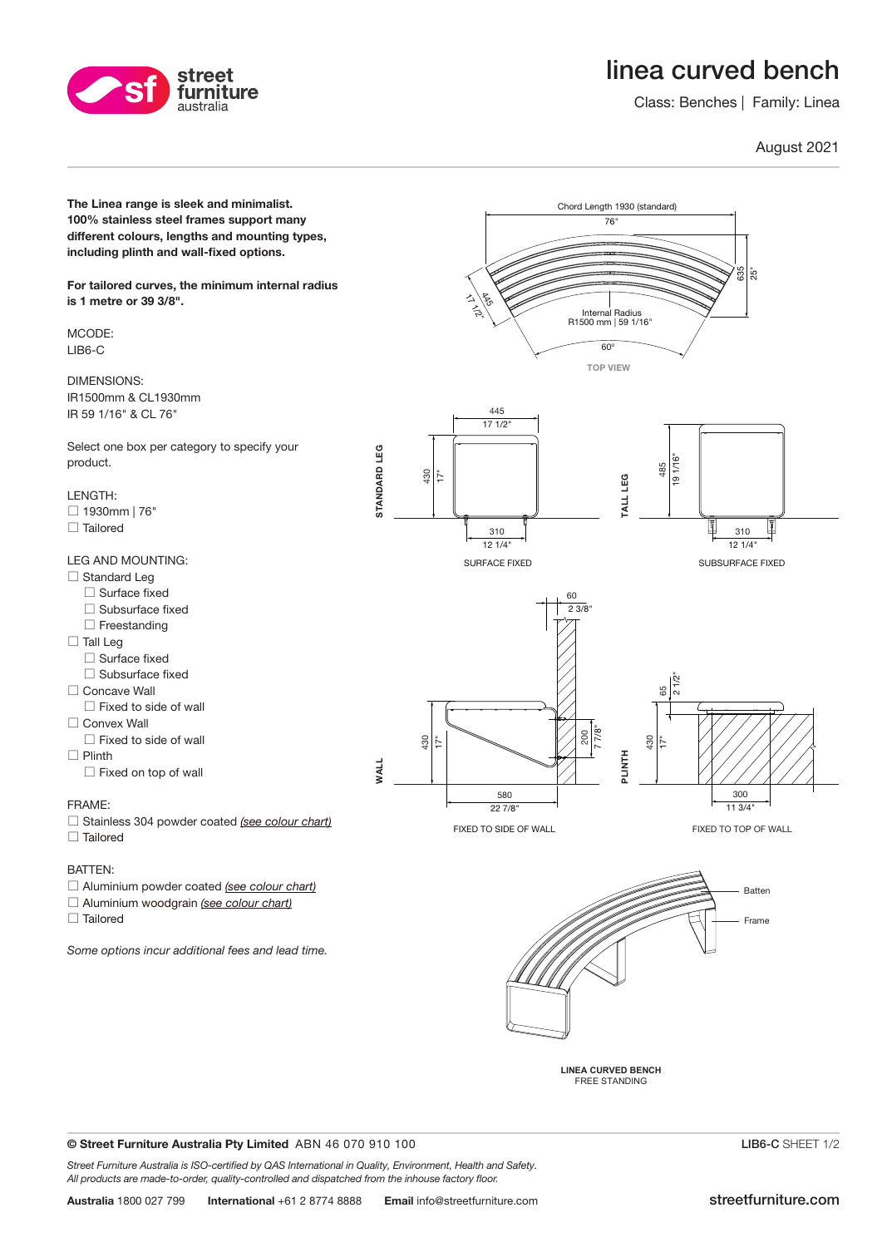# linea curved bench

Class: Benches | Family: Linea

### August 2021



© Street Furniture Australia Pty Limited ABN 46 070 910 100

street furniture australia

Street Furniture Australia is ISO-certified by QAS International in Quality, Environment, Health and Safety. All products are made-to-order, quality-controlled and dispatched from the inhouse factory floor.